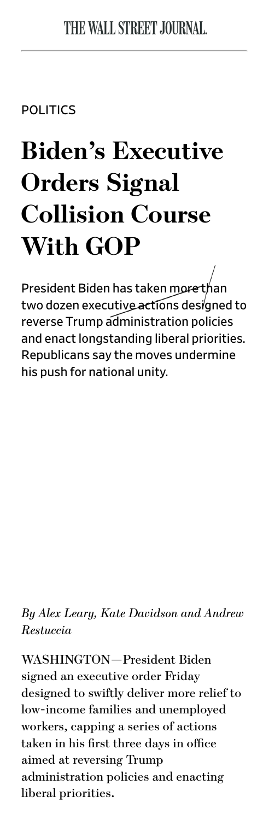**POLITICS** 

## **Biden's Executive Orders Signal Collision Course With GOP**

President Biden has taken more than two dozen executive actions designed to reverse Trump administration policies and enact longstanding liberal priorities. Republicans say the moves undermine his push for national unity.

*By Alex Leary, Kate Davidson and Andrew Restuccia*

WASHINGTON—President Biden signed an executive order Friday designed to swifly deliver more relief to low-income families and unemployed workers, capping a series of actions taken in his first three days in office aimed at reversing Trump administration policies and enacting liberal priorities.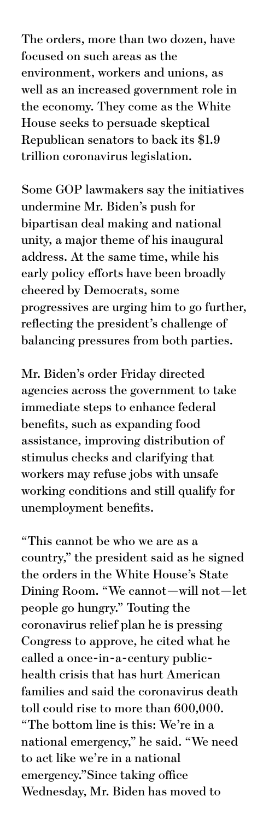The orders, more than two dozen, have focused on such areas as the environment, workers and unions, as well as an increased government role in the economy. They come as the White House seeks to persuade skeptical Republican senators to back its \$1.9 trillion coronavirus legislation.

Some GOP lawmakers say the initiatives undermine Mr. Biden's push for bipartisan deal making and national unity, a major theme of his inaugural address. At the same time, while his early policy efforts have been broadly cheered by Democrats, some progressives are urging him to go further, reflecting the president's challenge of balancing pressures from both parties.

Mr. Biden's order Friday directed agencies across the government to take immediate steps to enhance federal benefits, such as expanding food assistance, improving distribution of stimulus checks and clarifying that workers may refuse jobs with unsafe working conditions and still qualify for unemployment benefits.

"This cannot be who we are as a country," the president said as he signed the orders in the White House's State Dining Room. "We cannot—will not—let people go hungry." Touting the coronavirus relief plan he is pressing Congress to approve, he cited what he called a once-in-a-century publichealth crisis that has hurt American families and said the coronavirus death toll could rise to more than 600,000. "The bottom line is this: We're in a national emergency," he said. "We need to act like we're in a national emergency."Since taking office Wednesday, Mr. Biden has moved to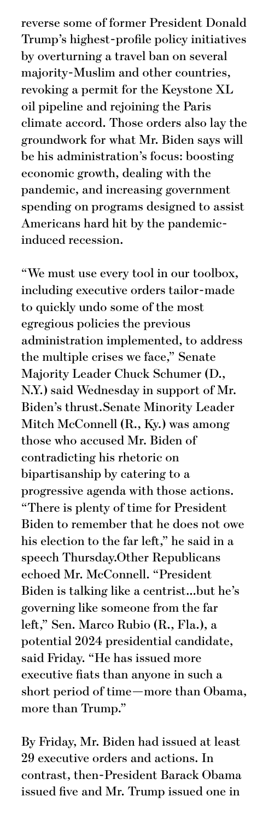reverse some of former President Donald Trump's highest-profile policy initiatives by overturning a travel ban on several majority-Muslim and other countries, revoking a permit for the Keystone XL oil pipeline and rejoining the Paris climate accord. Those orders also lay the groundwork for what Mr. Biden says will be his administration's focus: boosting economic growth, dealing with the pandemic, and increasing government spending on programs designed to assist Americans hard hit by the pandemicinduced recession.

"We must use every tool in our toolbox, including executive orders tailor-made to quickly undo some of the most egregious policies the previous administration implemented, to address the multiple crises we face," Senate Majority Leader Chuck Schumer (D., N.Y.) said Wednesday in support of Mr. Biden's thrust.Senate Minority Leader Mitch McConnell (R., Ky.) was among those who accused Mr. Biden of contradicting his rhetoric on bipartisanship by catering to a progressive agenda with those actions. "There is plenty of time for President Biden to remember that he does not owe his election to the far left," he said in a speech Thursday.Other Republicans echoed Mr. McConnell. "President Biden is talking like a centrist…but he's governing like someone from the far left," Sen. Marco Rubio (R., Fla.), a potential 2024 presidential candidate, said Friday. "He has issued more executive fiats than anyone in such a short period of time—more than Obama, more than Trump."

By Friday, Mr. Biden had issued at least 29 executive orders and actions. In contrast, then-President Barack Obama issued five and Mr. Trump issued one in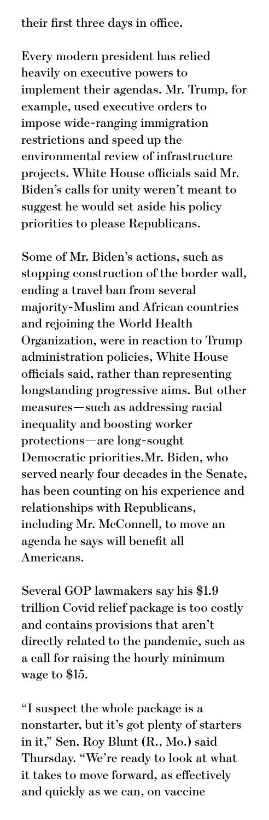their first three days in office.

Every modern president has relied heavily on executive powers to implement their agendas. Mr. Trump, for example, used executive orders to impose wide-ranging immigration restrictions and speed up the environmental review of infrastructure projects. White House officials said Mr. Biden's calls for unity weren't meant to suggest he would set aside his policy priorities to please Republicans.

Some of Mr. Biden's actions, such as stopping construction of the border wall, ending a travel ban from several majority-Muslim and African countries and rejoining the World Health Organization, were in reaction to Trump administration policies, White House officials said, rather than representing longstanding progressive aims. But other measures—such as addressing racial inequality and boosting worker protections—are long-sought Democratic priorities.Mr. Biden, who served nearly four decades in the Senate, has been counting on his experience and relationships with Republicans, including Mr. McConnell, to move an agenda he says will benefit all Americans.

Several GOP lawmakers say his \$1.9 trillion Covid relief package is too costly and contains provisions that aren't directly related to the pandemic, such as a call for raising the hourly minimum wage to \$15.

"I suspect the whole package is a nonstarter, but it's got plenty of starters in it," Sen. Roy Blunt (R., Mo.) said Thursday. "We're ready to look at what it takes to move forward, as efectively and quickly as we can, on vaccine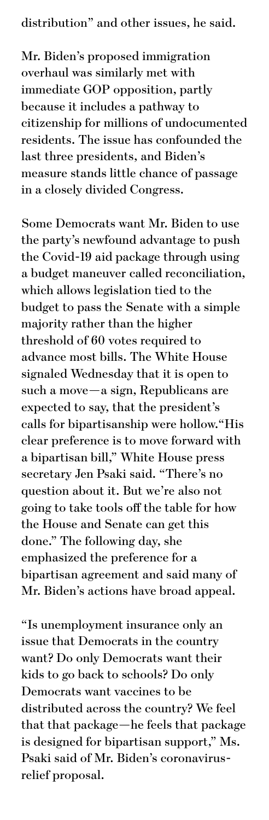Mr. Biden's proposed immigration overhaul was similarly met with immediate GOP opposition, partly because it includes a pathway to citizenship for millions of undocumented residents. The issue has confounded the last three presidents, and Biden's measure stands little chance of passage in a closely divided Congress.

Some Democrats want Mr. Biden to use the party's newfound advantage to push the Covid-19 aid package through using a budget maneuver called reconciliation, which allows legislation tied to the budget to pass the Senate with a simple majority rather than the higher threshold of 60 votes required to advance most bills. The White House signaled Wednesday that it is open to such a move—a sign, Republicans are expected to say, that the president's calls for bipartisanship were hollow."His clear preference is to move forward with a bipartisan bill," White House press secretary Jen Psaki said. "There's no question about it. But we're also not going to take tools off the table for how the House and Senate can get this done." The following day, she emphasized the preference for a bipartisan agreement and said many of Mr. Biden's actions have broad appeal.

"Is unemployment insurance only an issue that Democrats in the country want? Do only Democrats want their kids to go back to schools? Do only Democrats want vaccines to be distributed across the country? We feel that that package—he feels that package is designed for bipartisan support," Ms. Psaki said of Mr. Biden's coronavirusrelief proposal.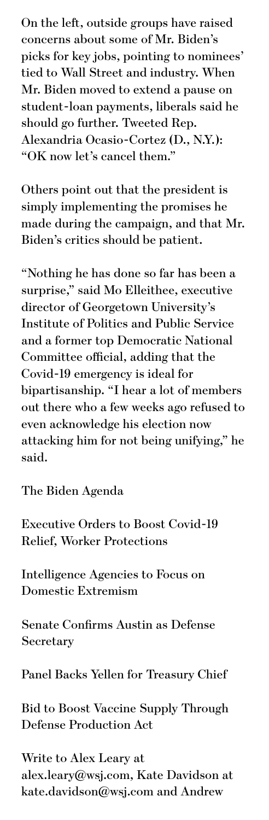On the left, outside groups have raised concerns about some of Mr. Biden's picks for key jobs, pointing to nominees' tied to Wall Street and industry. When Mr. Biden moved to extend a pause on student-loan payments, liberals said he should go further. Tweeted Rep. Alexandria Ocasio-Cortez (D., N.Y.): "OK now let's cancel them."

Others point out that the president is simply implementing the promises he made during the campaign, and that Mr. Biden's critics should be patient.

"Nothing he has done so far has been a surprise," said Mo Elleithee, executive director of Georgetown University's Institute of Politics and Public Service and a former top Democratic National Committee official, adding that the Covid-19 emergency is ideal for bipartisanship. "I hear a lot of members out there who a few weeks ago refused to even acknowledge his election now attacking him for not being unifying," he said.

The Biden Agenda

Executive Orders to Boost Covid-19 Relief, Worker Protections

Intelligence Agencies to Focus on Domestic Extremism

Senate Confirms Austin as Defense Secretary

Panel Backs Yellen for Treasury Chief

Bid to Boost Vaccine Supply Through Defense Production Act

Write to Alex Leary at alex.leary@wsj.com, Kate Davidson at kate.davidson@wsj.com and Andrew